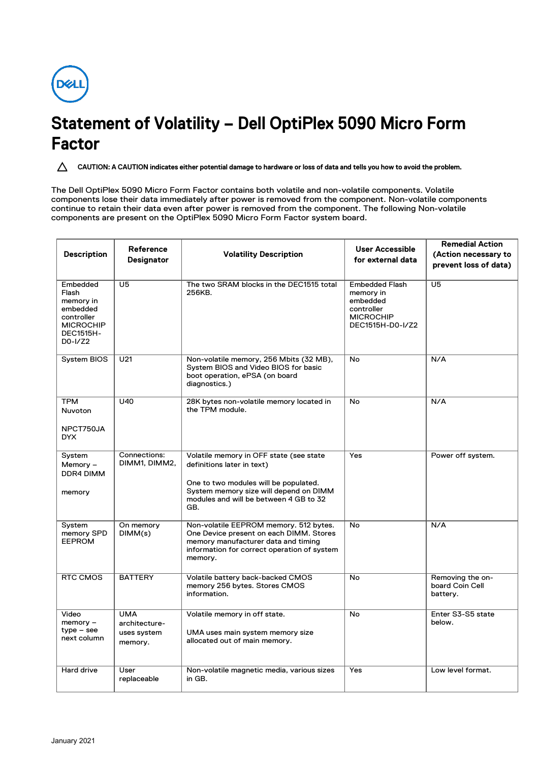

## **Statement of Volatility – Dell OptiPlex 5090 Micro Form Factor**

**CAUTION: A CAUTION indicates either potential damage to hardware or loss of data and tells you how to avoid the problem.**

The Dell OptiPlex 5090 Micro Form Factor contains both volatile and non-volatile components. Volatile components lose their data immediately after power is removed from the component. Non-volatile components continue to retain their data even after power is removed from the component. The following Non-volatile components are present on the OptiPlex 5090 Micro Form Factor system board.

| <b>Description</b>                                                                                          | Reference<br>Designator                               | <b>Volatility Description</b>                                                                                                                                                                             | <b>User Accessible</b><br>for external data                                                          | <b>Remedial Action</b><br>(Action necessary to<br>prevent loss of data) |
|-------------------------------------------------------------------------------------------------------------|-------------------------------------------------------|-----------------------------------------------------------------------------------------------------------------------------------------------------------------------------------------------------------|------------------------------------------------------------------------------------------------------|-------------------------------------------------------------------------|
| Embedded<br>Flash<br>memory in<br>embedded<br>controller<br><b>MICROCHIP</b><br><b>DEC1515H-</b><br>D0-I/Z2 | $\overline{U5}$                                       | The two SRAM blocks in the DEC1515 total<br>256KB.                                                                                                                                                        | <b>Embedded Flash</b><br>memory in<br>embedded<br>controller<br><b>MICROCHIP</b><br>DEC1515H-D0-I/Z2 | $\overline{U5}$                                                         |
| System BIOS                                                                                                 | U21                                                   | Non-volatile memory, 256 Mbits (32 MB),<br>System BIOS and Video BIOS for basic<br>boot operation, ePSA (on board<br>diagnostics.)                                                                        | No                                                                                                   | N/A                                                                     |
| <b>TPM</b><br><b>Nuvoton</b><br>NPCT750JA<br>DYX                                                            | U40                                                   | 28K bytes non-volatile memory located in<br>the TPM module.                                                                                                                                               | No                                                                                                   | N/A                                                                     |
| System<br>Memory-<br>DDR4 DIMM<br>memory                                                                    | Connections:<br>DIMM1, DIMM2,                         | Volatile memory in OFF state (see state<br>definitions later in text)<br>One to two modules will be populated.<br>System memory size will depend on DIMM<br>modules and will be between 4 GB to 32<br>GB. | Yes                                                                                                  | Power off system.                                                       |
| System<br>memory SPD<br><b>EEPROM</b>                                                                       | On memory<br>DIMM(s)                                  | Non-volatile EEPROM memory. 512 bytes.<br>One Device present on each DIMM. Stores<br>memory manufacturer data and timing<br>information for correct operation of system<br>memory.                        | No                                                                                                   | N/A                                                                     |
| RTC CMOS                                                                                                    | <b>BATTERY</b>                                        | Volatile battery back-backed CMOS<br>memory 256 bytes. Stores CMOS<br>information.                                                                                                                        | No                                                                                                   | Removing the on-<br>board Coin Cell<br>battery.                         |
| Video<br>$memory -$<br>$type - see$<br>next column                                                          | <b>UMA</b><br>architecture-<br>uses system<br>memory. | Volatile memory in off state.<br>UMA uses main system memory size<br>allocated out of main memory.                                                                                                        | No                                                                                                   | Enter S3-S5 state<br>below.                                             |
| Hard drive                                                                                                  | User<br>replaceable                                   | Non-volatile magnetic media, various sizes<br>in GB.                                                                                                                                                      | Yes                                                                                                  | Low level format.                                                       |